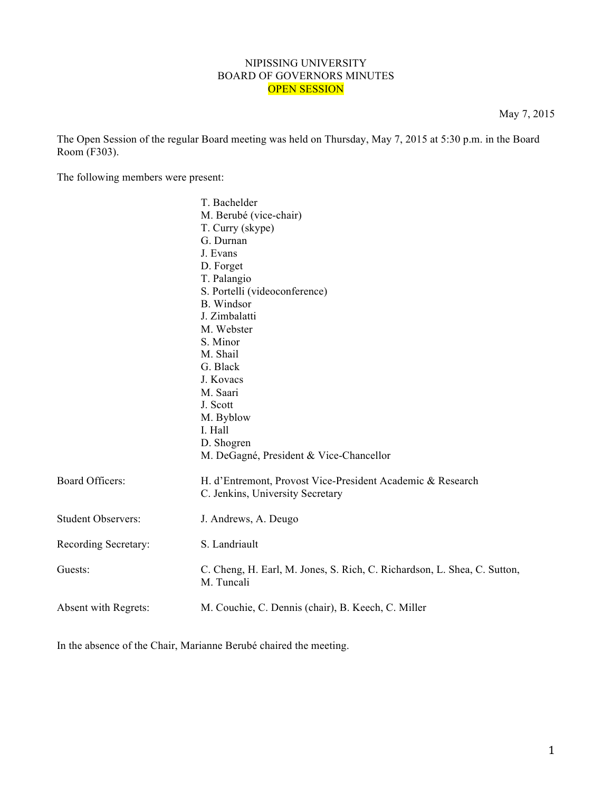## NIPISSING UNIVERSITY BOARD OF GOVERNORS MINUTES OPEN SESSION

May 7, 2015

The Open Session of the regular Board meeting was held on Thursday, May 7, 2015 at 5:30 p.m. in the Board Room (F303).

The following members were present:

|                           | T. Bachelder                                                                                   |
|---------------------------|------------------------------------------------------------------------------------------------|
|                           | M. Berubé (vice-chair)                                                                         |
|                           | T. Curry (skype)                                                                               |
|                           | G. Durnan                                                                                      |
|                           | J. Evans                                                                                       |
|                           | D. Forget                                                                                      |
|                           | T. Palangio                                                                                    |
|                           | S. Portelli (videoconference)                                                                  |
|                           | <b>B.</b> Windsor                                                                              |
|                           | J. Zimbalatti                                                                                  |
|                           | M. Webster                                                                                     |
|                           | S. Minor                                                                                       |
|                           | M. Shail                                                                                       |
|                           | G. Black                                                                                       |
|                           | J. Kovacs                                                                                      |
|                           | M. Saari                                                                                       |
|                           | J. Scott                                                                                       |
|                           | M. Byblow                                                                                      |
|                           | I. Hall                                                                                        |
|                           | D. Shogren                                                                                     |
|                           | M. DeGagné, President & Vice-Chancellor                                                        |
| <b>Board Officers:</b>    | H. d'Entremont, Provost Vice-President Academic & Research<br>C. Jenkins, University Secretary |
| <b>Student Observers:</b> | J. Andrews, A. Deugo                                                                           |
| Recording Secretary:      | S. Landriault                                                                                  |
| Guests:                   | C. Cheng, H. Earl, M. Jones, S. Rich, C. Richardson, L. Shea, C. Sutton,<br>M. Tuncali         |
| Absent with Regrets:      | M. Couchie, C. Dennis (chair), B. Keech, C. Miller                                             |
|                           |                                                                                                |

In the absence of the Chair, Marianne Berubé chaired the meeting.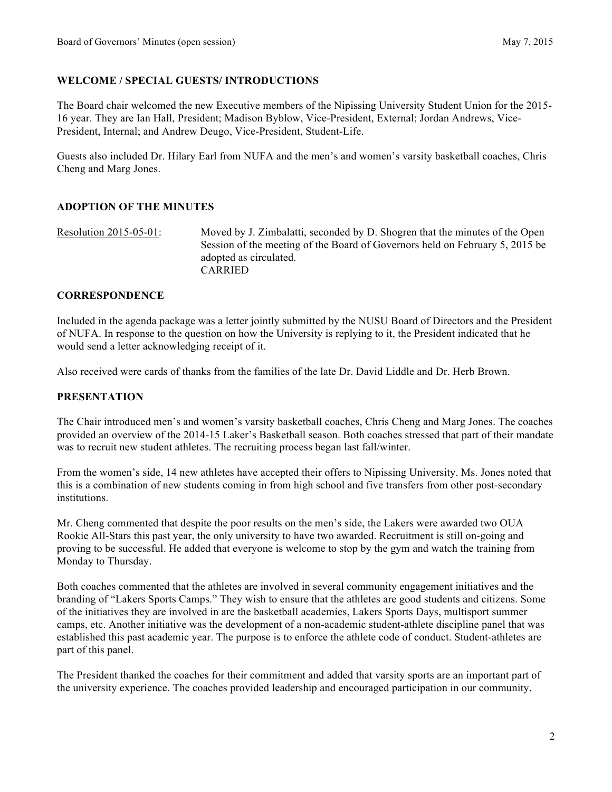# **WELCOME / SPECIAL GUESTS/ INTRODUCTIONS**

The Board chair welcomed the new Executive members of the Nipissing University Student Union for the 2015- 16 year. They are Ian Hall, President; Madison Byblow, Vice-President, External; Jordan Andrews, Vice-President, Internal; and Andrew Deugo, Vice-President, Student-Life.

Guests also included Dr. Hilary Earl from NUFA and the men's and women's varsity basketball coaches, Chris Cheng and Marg Jones.

## **ADOPTION OF THE MINUTES**

Resolution 2015-05-01: Moved by J. Zimbalatti, seconded by D. Shogren that the minutes of the Open Session of the meeting of the Board of Governors held on February 5, 2015 be adopted as circulated. CARRIED

### **CORRESPONDENCE**

Included in the agenda package was a letter jointly submitted by the NUSU Board of Directors and the President of NUFA. In response to the question on how the University is replying to it, the President indicated that he would send a letter acknowledging receipt of it.

Also received were cards of thanks from the families of the late Dr. David Liddle and Dr. Herb Brown.

### **PRESENTATION**

The Chair introduced men's and women's varsity basketball coaches, Chris Cheng and Marg Jones. The coaches provided an overview of the 2014-15 Laker's Basketball season. Both coaches stressed that part of their mandate was to recruit new student athletes. The recruiting process began last fall/winter.

From the women's side, 14 new athletes have accepted their offers to Nipissing University. Ms. Jones noted that this is a combination of new students coming in from high school and five transfers from other post-secondary institutions.

Mr. Cheng commented that despite the poor results on the men's side, the Lakers were awarded two OUA Rookie All-Stars this past year, the only university to have two awarded. Recruitment is still on-going and proving to be successful. He added that everyone is welcome to stop by the gym and watch the training from Monday to Thursday.

Both coaches commented that the athletes are involved in several community engagement initiatives and the branding of "Lakers Sports Camps." They wish to ensure that the athletes are good students and citizens. Some of the initiatives they are involved in are the basketball academies, Lakers Sports Days, multisport summer camps, etc. Another initiative was the development of a non-academic student-athlete discipline panel that was established this past academic year. The purpose is to enforce the athlete code of conduct. Student-athletes are part of this panel.

The President thanked the coaches for their commitment and added that varsity sports are an important part of the university experience. The coaches provided leadership and encouraged participation in our community.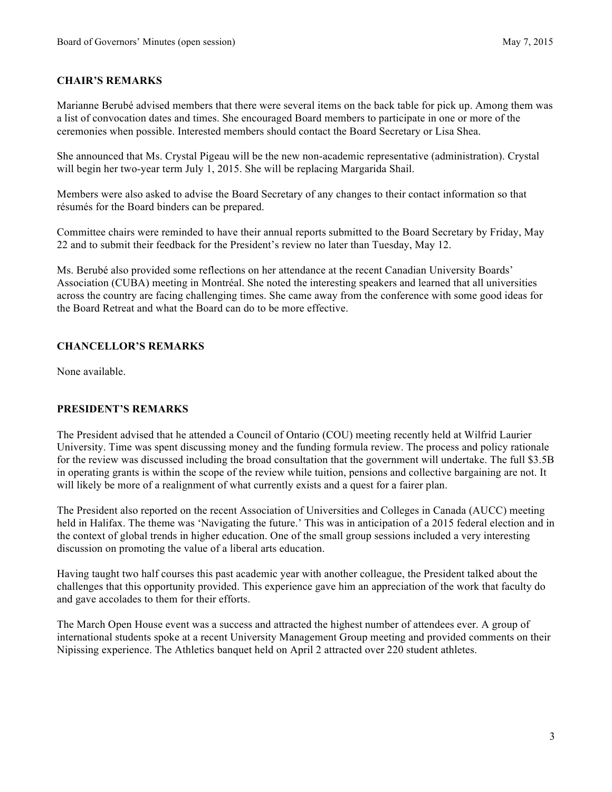# **CHAIR'S REMARKS**

Marianne Berubé advised members that there were several items on the back table for pick up. Among them was a list of convocation dates and times. She encouraged Board members to participate in one or more of the ceremonies when possible. Interested members should contact the Board Secretary or Lisa Shea.

She announced that Ms. Crystal Pigeau will be the new non-academic representative (administration). Crystal will begin her two-year term July 1, 2015. She will be replacing Margarida Shail.

Members were also asked to advise the Board Secretary of any changes to their contact information so that résumés for the Board binders can be prepared.

Committee chairs were reminded to have their annual reports submitted to the Board Secretary by Friday, May 22 and to submit their feedback for the President's review no later than Tuesday, May 12.

Ms. Berubé also provided some reflections on her attendance at the recent Canadian University Boards' Association (CUBA) meeting in Montréal. She noted the interesting speakers and learned that all universities across the country are facing challenging times. She came away from the conference with some good ideas for the Board Retreat and what the Board can do to be more effective.

## **CHANCELLOR'S REMARKS**

None available.

## **PRESIDENT'S REMARKS**

The President advised that he attended a Council of Ontario (COU) meeting recently held at Wilfrid Laurier University. Time was spent discussing money and the funding formula review. The process and policy rationale for the review was discussed including the broad consultation that the government will undertake. The full \$3.5B in operating grants is within the scope of the review while tuition, pensions and collective bargaining are not. It will likely be more of a realignment of what currently exists and a quest for a fairer plan.

The President also reported on the recent Association of Universities and Colleges in Canada (AUCC) meeting held in Halifax. The theme was 'Navigating the future.' This was in anticipation of a 2015 federal election and in the context of global trends in higher education. One of the small group sessions included a very interesting discussion on promoting the value of a liberal arts education.

Having taught two half courses this past academic year with another colleague, the President talked about the challenges that this opportunity provided. This experience gave him an appreciation of the work that faculty do and gave accolades to them for their efforts.

The March Open House event was a success and attracted the highest number of attendees ever. A group of international students spoke at a recent University Management Group meeting and provided comments on their Nipissing experience. The Athletics banquet held on April 2 attracted over 220 student athletes.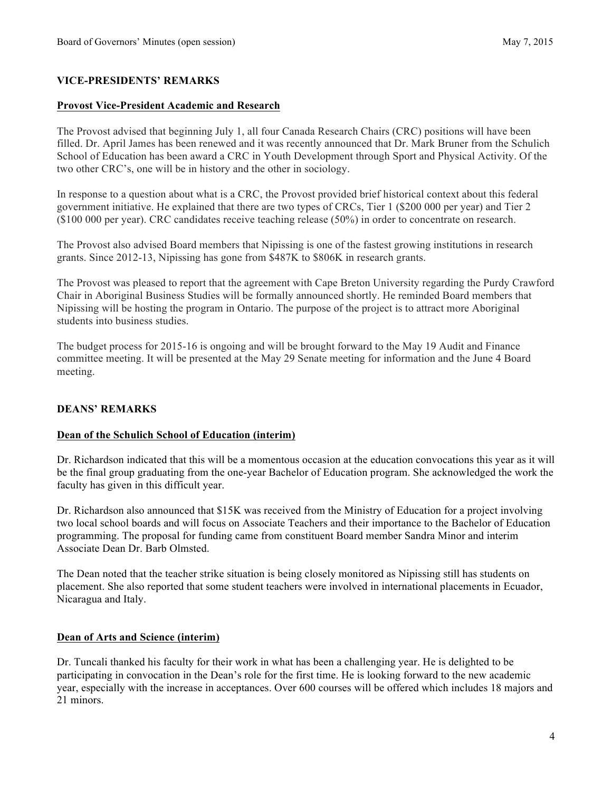## **VICE-PRESIDENTS' REMARKS**

#### **Provost Vice-President Academic and Research**

The Provost advised that beginning July 1, all four Canada Research Chairs (CRC) positions will have been filled. Dr. April James has been renewed and it was recently announced that Dr. Mark Bruner from the Schulich School of Education has been award a CRC in Youth Development through Sport and Physical Activity. Of the two other CRC's, one will be in history and the other in sociology.

In response to a question about what is a CRC, the Provost provided brief historical context about this federal government initiative. He explained that there are two types of CRCs, Tier 1 (\$200 000 per year) and Tier 2 (\$100 000 per year). CRC candidates receive teaching release (50%) in order to concentrate on research.

The Provost also advised Board members that Nipissing is one of the fastest growing institutions in research grants. Since 2012-13, Nipissing has gone from \$487K to \$806K in research grants.

The Provost was pleased to report that the agreement with Cape Breton University regarding the Purdy Crawford Chair in Aboriginal Business Studies will be formally announced shortly. He reminded Board members that Nipissing will be hosting the program in Ontario. The purpose of the project is to attract more Aboriginal students into business studies.

The budget process for 2015-16 is ongoing and will be brought forward to the May 19 Audit and Finance committee meeting. It will be presented at the May 29 Senate meeting for information and the June 4 Board meeting.

### **DEANS' REMARKS**

### **Dean of the Schulich School of Education (interim)**

Dr. Richardson indicated that this will be a momentous occasion at the education convocations this year as it will be the final group graduating from the one-year Bachelor of Education program. She acknowledged the work the faculty has given in this difficult year.

Dr. Richardson also announced that \$15K was received from the Ministry of Education for a project involving two local school boards and will focus on Associate Teachers and their importance to the Bachelor of Education programming. The proposal for funding came from constituent Board member Sandra Minor and interim Associate Dean Dr. Barb Olmsted.

The Dean noted that the teacher strike situation is being closely monitored as Nipissing still has students on placement. She also reported that some student teachers were involved in international placements in Ecuador, Nicaragua and Italy.

### **Dean of Arts and Science (interim)**

Dr. Tuncali thanked his faculty for their work in what has been a challenging year. He is delighted to be participating in convocation in the Dean's role for the first time. He is looking forward to the new academic year, especially with the increase in acceptances. Over 600 courses will be offered which includes 18 majors and 21 minors.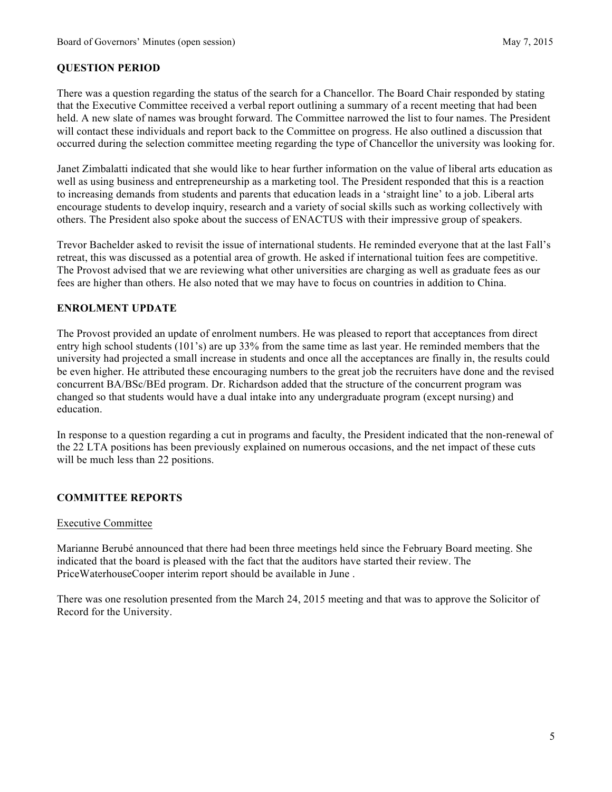## **QUESTION PERIOD**

There was a question regarding the status of the search for a Chancellor. The Board Chair responded by stating that the Executive Committee received a verbal report outlining a summary of a recent meeting that had been held. A new slate of names was brought forward. The Committee narrowed the list to four names. The President will contact these individuals and report back to the Committee on progress. He also outlined a discussion that occurred during the selection committee meeting regarding the type of Chancellor the university was looking for.

Janet Zimbalatti indicated that she would like to hear further information on the value of liberal arts education as well as using business and entrepreneurship as a marketing tool. The President responded that this is a reaction to increasing demands from students and parents that education leads in a 'straight line' to a job. Liberal arts encourage students to develop inquiry, research and a variety of social skills such as working collectively with others. The President also spoke about the success of ENACTUS with their impressive group of speakers.

Trevor Bachelder asked to revisit the issue of international students. He reminded everyone that at the last Fall's retreat, this was discussed as a potential area of growth. He asked if international tuition fees are competitive. The Provost advised that we are reviewing what other universities are charging as well as graduate fees as our fees are higher than others. He also noted that we may have to focus on countries in addition to China.

## **ENROLMENT UPDATE**

The Provost provided an update of enrolment numbers. He was pleased to report that acceptances from direct entry high school students (101's) are up 33% from the same time as last year. He reminded members that the university had projected a small increase in students and once all the acceptances are finally in, the results could be even higher. He attributed these encouraging numbers to the great job the recruiters have done and the revised concurrent BA/BSc/BEd program. Dr. Richardson added that the structure of the concurrent program was changed so that students would have a dual intake into any undergraduate program (except nursing) and education.

In response to a question regarding a cut in programs and faculty, the President indicated that the non-renewal of the 22 LTA positions has been previously explained on numerous occasions, and the net impact of these cuts will be much less than 22 positions.

## **COMMITTEE REPORTS**

### Executive Committee

Marianne Berubé announced that there had been three meetings held since the February Board meeting. She indicated that the board is pleased with the fact that the auditors have started their review. The PriceWaterhouseCooper interim report should be available in June .

There was one resolution presented from the March 24, 2015 meeting and that was to approve the Solicitor of Record for the University.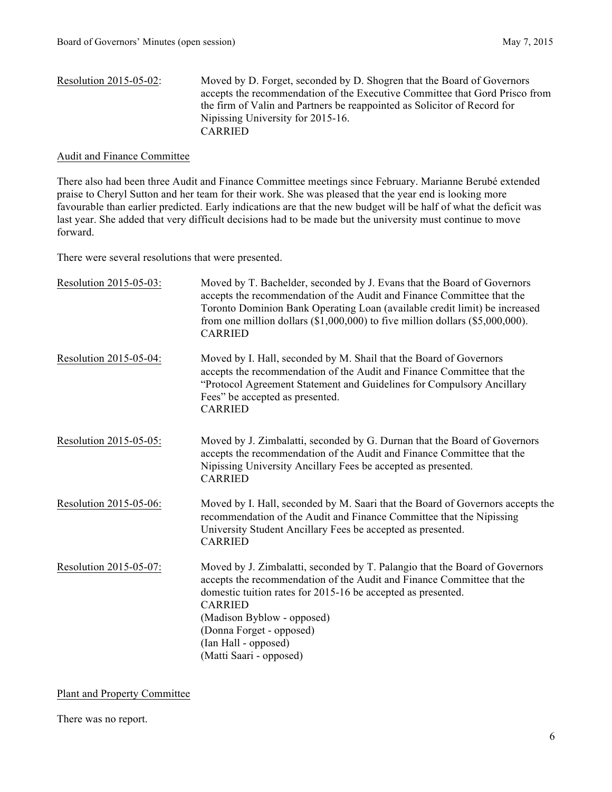| Resolution $2015-05-02$ : | Moved by D. Forget, seconded by D. Shogren that the Board of Governors      |
|---------------------------|-----------------------------------------------------------------------------|
|                           | accepts the recommendation of the Executive Committee that Gord Prisco from |
|                           | the firm of Valin and Partners be reappointed as Solicitor of Record for    |
|                           | Nipissing University for 2015-16.                                           |
|                           | <b>CARRIED</b>                                                              |
|                           |                                                                             |

#### Audit and Finance Committee

There also had been three Audit and Finance Committee meetings since February. Marianne Berubé extended praise to Cheryl Sutton and her team for their work. She was pleased that the year end is looking more favourable than earlier predicted. Early indications are that the new budget will be half of what the deficit was last year. She added that very difficult decisions had to be made but the university must continue to move forward.

There were several resolutions that were presented.

| Resolution 2015-05-03: | Moved by T. Bachelder, seconded by J. Evans that the Board of Governors<br>accepts the recommendation of the Audit and Finance Committee that the<br>Toronto Dominion Bank Operating Loan (available credit limit) be increased<br>from one million dollars $(1,000,000)$ to five million dollars $(55,000,000)$ .<br><b>CARRIED</b>                 |
|------------------------|------------------------------------------------------------------------------------------------------------------------------------------------------------------------------------------------------------------------------------------------------------------------------------------------------------------------------------------------------|
| Resolution 2015-05-04: | Moved by I. Hall, seconded by M. Shail that the Board of Governors<br>accepts the recommendation of the Audit and Finance Committee that the<br>"Protocol Agreement Statement and Guidelines for Compulsory Ancillary<br>Fees" be accepted as presented.<br><b>CARRIED</b>                                                                           |
| Resolution 2015-05-05: | Moved by J. Zimbalatti, seconded by G. Durnan that the Board of Governors<br>accepts the recommendation of the Audit and Finance Committee that the<br>Nipissing University Ancillary Fees be accepted as presented.<br><b>CARRIED</b>                                                                                                               |
| Resolution 2015-05-06: | Moved by I. Hall, seconded by M. Saari that the Board of Governors accepts the<br>recommendation of the Audit and Finance Committee that the Nipissing<br>University Student Ancillary Fees be accepted as presented.<br><b>CARRIED</b>                                                                                                              |
| Resolution 2015-05-07: | Moved by J. Zimbalatti, seconded by T. Palangio that the Board of Governors<br>accepts the recommendation of the Audit and Finance Committee that the<br>domestic tuition rates for 2015-16 be accepted as presented.<br><b>CARRIED</b><br>(Madison Byblow - opposed)<br>(Donna Forget - opposed)<br>(Ian Hall - opposed)<br>(Matti Saari - opposed) |

Plant and Property Committee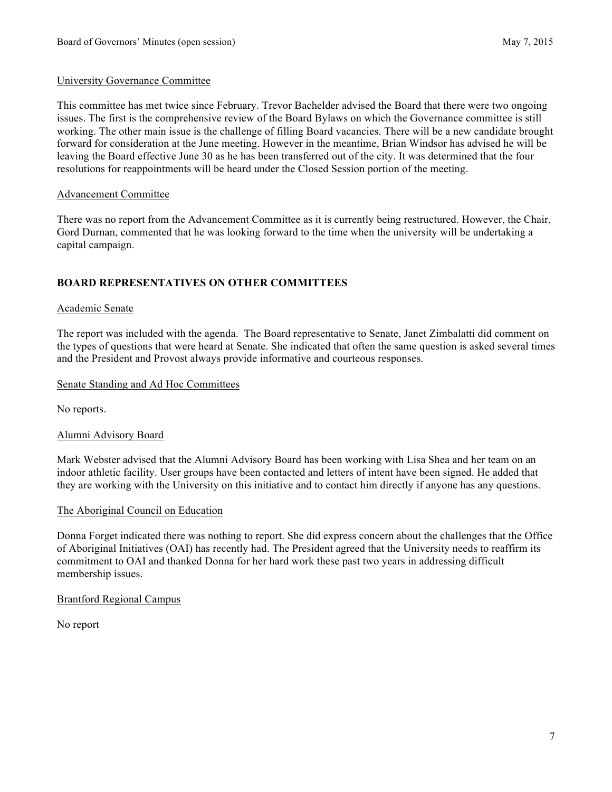#### University Governance Committee

This committee has met twice since February. Trevor Bachelder advised the Board that there were two ongoing issues. The first is the comprehensive review of the Board Bylaws on which the Governance committee is still working. The other main issue is the challenge of filling Board vacancies. There will be a new candidate brought forward for consideration at the June meeting. However in the meantime, Brian Windsor has advised he will be leaving the Board effective June 30 as he has been transferred out of the city. It was determined that the four resolutions for reappointments will be heard under the Closed Session portion of the meeting.

#### Advancement Committee

There was no report from the Advancement Committee as it is currently being restructured. However, the Chair, Gord Durnan, commented that he was looking forward to the time when the university will be undertaking a capital campaign.

## **BOARD REPRESENTATIVES ON OTHER COMMITTEES**

#### Academic Senate

The report was included with the agenda. The Board representative to Senate, Janet Zimbalatti did comment on the types of questions that were heard at Senate. She indicated that often the same question is asked several times and the President and Provost always provide informative and courteous responses.

#### Senate Standing and Ad Hoc Committees

No reports.

#### Alumni Advisory Board

Mark Webster advised that the Alumni Advisory Board has been working with Lisa Shea and her team on an indoor athletic facility. User groups have been contacted and letters of intent have been signed. He added that they are working with the University on this initiative and to contact him directly if anyone has any questions.

#### The Aboriginal Council on Education

Donna Forget indicated there was nothing to report. She did express concern about the challenges that the Office of Aboriginal Initiatives (OAI) has recently had. The President agreed that the University needs to reaffirm its commitment to OAI and thanked Donna for her hard work these past two years in addressing difficult membership issues.

#### Brantford Regional Campus

No report